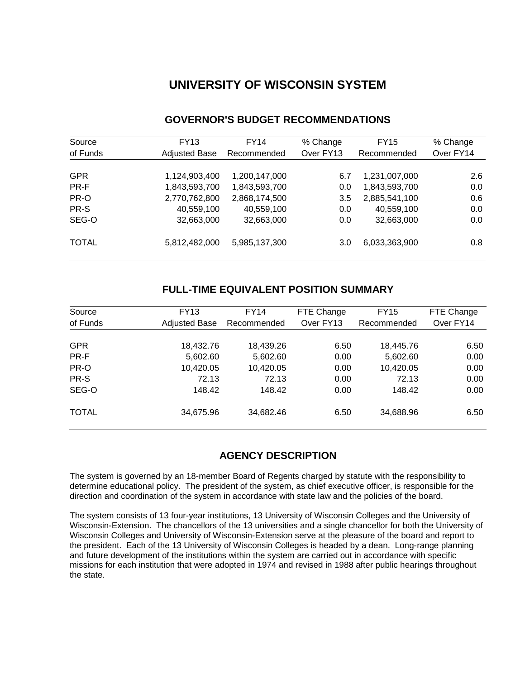# **UNIVERSITY OF WISCONSIN SYSTEM**

| Source       | FY13                 | FY14          | % Change  | <b>FY15</b>   | % Change  |
|--------------|----------------------|---------------|-----------|---------------|-----------|
| of Funds     | <b>Adjusted Base</b> | Recommended   | Over FY13 | Recommended   | Over FY14 |
|              |                      |               |           |               |           |
| <b>GPR</b>   | 1,124,903,400        | 1,200,147,000 | 6.7       | 1,231,007,000 | 2.6       |
| PR-F         | 1,843,593,700        | 1,843,593,700 | 0.0       | 1,843,593,700 | 0.0       |
| PR-O         | 2,770,762,800        | 2,868,174,500 | 3.5       | 2,885,541,100 | 0.6       |
| PR-S         | 40,559,100           | 40,559,100    | 0.0       | 40,559,100    | 0.0       |
| SEG-O        | 32,663,000           | 32,663,000    | 0.0       | 32,663,000    | 0.0       |
| <b>TOTAL</b> | 5,812,482,000        | 5,985,137,300 | 3.0       | 6,033,363,900 | 0.8       |

# **GOVERNOR'S BUDGET RECOMMENDATIONS**

# **FULL-TIME EQUIVALENT POSITION SUMMARY**

| Source       | <b>FY13</b>          | FY14        | FTE Change | <b>FY15</b> | FTE Change |
|--------------|----------------------|-------------|------------|-------------|------------|
| of Funds     | <b>Adjusted Base</b> | Recommended | Over FY13  | Recommended | Over FY14  |
|              |                      |             |            |             |            |
| <b>GPR</b>   | 18,432.76            | 18,439.26   | 6.50       | 18,445.76   | 6.50       |
| PR-F         | 5,602.60             | 5,602.60    | 0.00       | 5,602.60    | 0.00       |
| PR-O         | 10,420.05            | 10,420.05   | 0.00       | 10,420.05   | 0.00       |
| PR-S         | 72.13                | 72.13       | 0.00       | 72.13       | 0.00       |
| SEG-O        | 148.42               | 148.42      | 0.00       | 148.42      | 0.00       |
| <b>TOTAL</b> | 34,675.96            | 34,682.46   | 6.50       | 34,688.96   | 6.50       |

# **AGENCY DESCRIPTION**

The system is governed by an 18-member Board of Regents charged by statute with the responsibility to determine educational policy. The president of the system, as chief executive officer, is responsible for the direction and coordination of the system in accordance with state law and the policies of the board.

The system consists of 13 four-year institutions, 13 University of Wisconsin Colleges and the University of Wisconsin-Extension. The chancellors of the 13 universities and a single chancellor for both the University of Wisconsin Colleges and University of Wisconsin-Extension serve at the pleasure of the board and report to the president. Each of the 13 University of Wisconsin Colleges is headed by a dean. Long-range planning and future development of the institutions within the system are carried out in accordance with specific missions for each institution that were adopted in 1974 and revised in 1988 after public hearings throughout the state.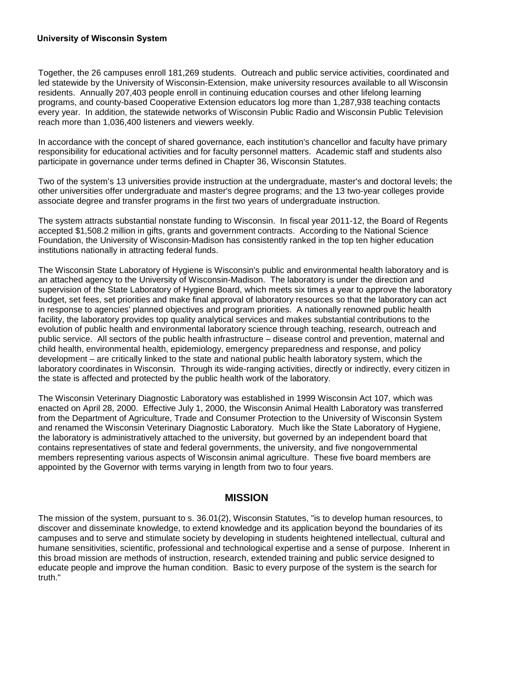Together, the 26 campuses enroll 181,269 students. Outreach and public service activities, coordinated and led statewide by the University of Wisconsin-Extension, make university resources available to all Wisconsin residents. Annually 207,403 people enroll in continuing education courses and other lifelong learning programs, and county-based Cooperative Extension educators log more than 1,287,938 teaching contacts every year. In addition, the statewide networks of Wisconsin Public Radio and Wisconsin Public Television reach more than 1,036,400 listeners and viewers weekly.

In accordance with the concept of shared governance, each institution's chancellor and faculty have primary responsibility for educational activities and for faculty personnel matters. Academic staff and students also participate in governance under terms defined in Chapter 36, Wisconsin Statutes.

Two of the system's 13 universities provide instruction at the undergraduate, master's and doctoral levels; the other universities offer undergraduate and master's degree programs; and the 13 two-year colleges provide associate degree and transfer programs in the first two years of undergraduate instruction.

The system attracts substantial nonstate funding to Wisconsin. In fiscal year 2011-12, the Board of Regents accepted \$1,508.2 million in gifts, grants and government contracts. According to the National Science Foundation, the University of Wisconsin-Madison has consistently ranked in the top ten higher education institutions nationally in attracting federal funds.

The Wisconsin State Laboratory of Hygiene is Wisconsin's public and environmental health laboratory and is an attached agency to the University of Wisconsin-Madison. The laboratory is under the direction and supervision of the State Laboratory of Hygiene Board, which meets six times a year to approve the laboratory budget, set fees, set priorities and make final approval of laboratory resources so that the laboratory can act in response to agencies' planned objectives and program priorities. A nationally renowned public health facility, the laboratory provides top quality analytical services and makes substantial contributions to the evolution of public health and environmental laboratory science through teaching, research, outreach and public service. All sectors of the public health infrastructure – disease control and prevention, maternal and child health, environmental health, epidemiology, emergency preparedness and response, and policy development – are critically linked to the state and national public health laboratory system, which the laboratory coordinates in Wisconsin. Through its wide-ranging activities, directly or indirectly, every citizen in the state is affected and protected by the public health work of the laboratory.

The Wisconsin Veterinary Diagnostic Laboratory was established in 1999 Wisconsin Act 107, which was enacted on April 28, 2000. Effective July 1, 2000, the Wisconsin Animal Health Laboratory was transferred from the Department of Agriculture, Trade and Consumer Protection to the University of Wisconsin System and renamed the Wisconsin Veterinary Diagnostic Laboratory. Much like the State Laboratory of Hygiene, the laboratory is administratively attached to the university, but governed by an independent board that contains representatives of state and federal governments, the university, and five nongovernmental members representing various aspects of Wisconsin animal agriculture. These five board members are appointed by the Governor with terms varying in length from two to four years.

### **MISSION**

The mission of the system, pursuant to s. 36.01(2), Wisconsin Statutes, "is to develop human resources, to discover and disseminate knowledge, to extend knowledge and its application beyond the boundaries of its campuses and to serve and stimulate society by developing in students heightened intellectual, cultural and humane sensitivities, scientific, professional and technological expertise and a sense of purpose. Inherent in this broad mission are methods of instruction, research, extended training and public service designed to educate people and improve the human condition. Basic to every purpose of the system is the search for truth."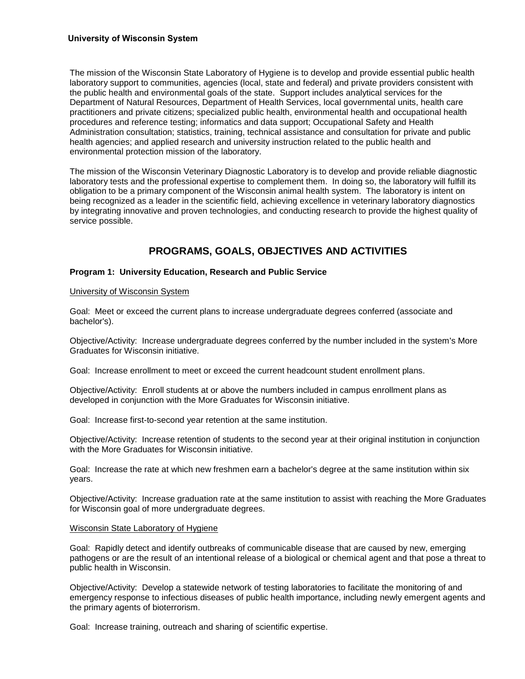The mission of the Wisconsin State Laboratory of Hygiene is to develop and provide essential public health laboratory support to communities, agencies (local, state and federal) and private providers consistent with the public health and environmental goals of the state. Support includes analytical services for the Department of Natural Resources, Department of Health Services, local governmental units, health care practitioners and private citizens; specialized public health, environmental health and occupational health procedures and reference testing; informatics and data support; Occupational Safety and Health Administration consultation; statistics, training, technical assistance and consultation for private and public health agencies; and applied research and university instruction related to the public health and environmental protection mission of the laboratory.

The mission of the Wisconsin Veterinary Diagnostic Laboratory is to develop and provide reliable diagnostic laboratory tests and the professional expertise to complement them. In doing so, the laboratory will fulfill its obligation to be a primary component of the Wisconsin animal health system. The laboratory is intent on being recognized as a leader in the scientific field, achieving excellence in veterinary laboratory diagnostics by integrating innovative and proven technologies, and conducting research to provide the highest quality of service possible.

# **PROGRAMS, GOALS, OBJECTIVES AND ACTIVITIES**

### **Program 1: University Education, Research and Public Service**

#### University of Wisconsin System

Goal: Meet or exceed the current plans to increase undergraduate degrees conferred (associate and bachelor's).

Objective/Activity: Increase undergraduate degrees conferred by the number included in the system's More Graduates for Wisconsin initiative.

Goal: Increase enrollment to meet or exceed the current headcount student enrollment plans.

Objective/Activity: Enroll students at or above the numbers included in campus enrollment plans as developed in conjunction with the More Graduates for Wisconsin initiative.

Goal: Increase first-to-second year retention at the same institution.

Objective/Activity: Increase retention of students to the second year at their original institution in conjunction with the More Graduates for Wisconsin initiative.

Goal: Increase the rate at which new freshmen earn a bachelor's degree at the same institution within six years.

Objective/Activity: Increase graduation rate at the same institution to assist with reaching the More Graduates for Wisconsin goal of more undergraduate degrees.

#### Wisconsin State Laboratory of Hygiene

Goal: Rapidly detect and identify outbreaks of communicable disease that are caused by new, emerging pathogens or are the result of an intentional release of a biological or chemical agent and that pose a threat to public health in Wisconsin.

Objective/Activity: Develop a statewide network of testing laboratories to facilitate the monitoring of and emergency response to infectious diseases of public health importance, including newly emergent agents and the primary agents of bioterrorism.

Goal: Increase training, outreach and sharing of scientific expertise.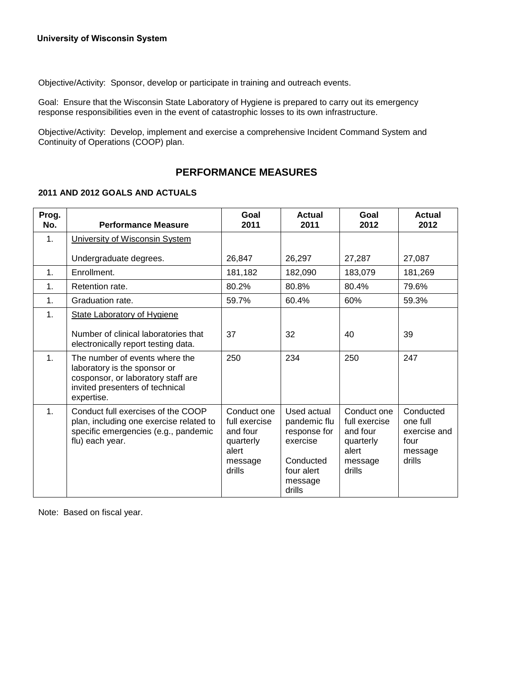Objective/Activity: Sponsor, develop or participate in training and outreach events.

Goal: Ensure that the Wisconsin State Laboratory of Hygiene is prepared to carry out its emergency response responsibilities even in the event of catastrophic losses to its own infrastructure.

Objective/Activity: Develop, implement and exercise a comprehensive Incident Command System and Continuity of Operations (COOP) plan.

# **PERFORMANCE MEASURES**

### **2011 AND 2012 GOALS AND ACTUALS**

| Prog.<br>No.   | <b>Performance Measure</b>                                                                                                                            | Goal<br>2011                                                                        | <b>Actual</b><br>2011                                                                                   | Goal<br>2012                                                                        | <b>Actual</b><br>2012                                              |
|----------------|-------------------------------------------------------------------------------------------------------------------------------------------------------|-------------------------------------------------------------------------------------|---------------------------------------------------------------------------------------------------------|-------------------------------------------------------------------------------------|--------------------------------------------------------------------|
| $\mathbf{1}$ . | University of Wisconsin System                                                                                                                        |                                                                                     |                                                                                                         |                                                                                     |                                                                    |
|                | Undergraduate degrees.                                                                                                                                | 26,847                                                                              | 26,297                                                                                                  | 27,287                                                                              | 27,087                                                             |
| 1 <sub>1</sub> | Enrollment.                                                                                                                                           | 181,182                                                                             | 182,090                                                                                                 | 183,079                                                                             | 181,269                                                            |
| $\mathbf 1$ .  | Retention rate.                                                                                                                                       | 80.2%                                                                               | 80.8%                                                                                                   | 80.4%                                                                               | 79.6%                                                              |
| $\mathbf{1}$ . | Graduation rate.                                                                                                                                      | 59.7%                                                                               | 60.4%                                                                                                   | 60%                                                                                 | 59.3%                                                              |
| $\mathbf 1$ .  | <b>State Laboratory of Hygiene</b>                                                                                                                    |                                                                                     |                                                                                                         |                                                                                     |                                                                    |
|                | Number of clinical laboratories that<br>electronically report testing data.                                                                           | 37                                                                                  | 32                                                                                                      | 40                                                                                  | 39                                                                 |
| $\mathbf{1}$ . | The number of events where the<br>laboratory is the sponsor or<br>cosponsor, or laboratory staff are<br>invited presenters of technical<br>expertise. | 250                                                                                 | 234                                                                                                     | 250                                                                                 | 247                                                                |
| 1.             | Conduct full exercises of the COOP<br>plan, including one exercise related to<br>specific emergencies (e.g., pandemic<br>flu) each year.              | Conduct one<br>full exercise<br>and four<br>quarterly<br>alert<br>message<br>drills | Used actual<br>pandemic flu<br>response for<br>exercise<br>Conducted<br>four alert<br>message<br>drills | Conduct one<br>full exercise<br>and four<br>quarterly<br>alert<br>message<br>drills | Conducted<br>one full<br>exercise and<br>four<br>message<br>drills |

Note: Based on fiscal year.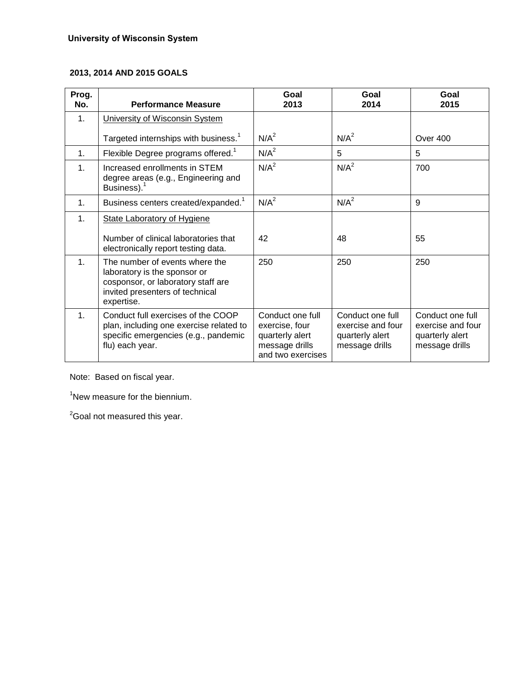# **2013, 2014 AND 2015 GOALS**

| Prog.<br>No.   | <b>Performance Measure</b>                                                                                                                            | Goal<br>2013                                                                                 | Goal<br>2014                                                               | Goal<br>2015                                                               |
|----------------|-------------------------------------------------------------------------------------------------------------------------------------------------------|----------------------------------------------------------------------------------------------|----------------------------------------------------------------------------|----------------------------------------------------------------------------|
| 1.             | University of Wisconsin System                                                                                                                        |                                                                                              |                                                                            |                                                                            |
|                | Targeted internships with business. <sup>1</sup>                                                                                                      | N/A <sup>2</sup>                                                                             | N/A <sup>2</sup>                                                           | Over 400                                                                   |
| $\mathbf{1}$ . | Flexible Degree programs offered. <sup>1</sup>                                                                                                        | N/A <sup>2</sup>                                                                             | 5                                                                          | 5                                                                          |
| $\mathbf{1}$ . | Increased enrollments in STEM<br>degree areas (e.g., Engineering and<br>Business). <sup>1</sup>                                                       | N/A <sup>2</sup>                                                                             | N/A <sup>2</sup>                                                           | 700                                                                        |
| 1 <sub>1</sub> | Business centers created/expanded. <sup>1</sup>                                                                                                       | N/A <sup>2</sup>                                                                             | N/A <sup>2</sup>                                                           | 9                                                                          |
| $\mathbf{1}$ . | <b>State Laboratory of Hygiene</b>                                                                                                                    |                                                                                              |                                                                            |                                                                            |
|                | Number of clinical laboratories that<br>electronically report testing data.                                                                           | 42                                                                                           | 48                                                                         | 55                                                                         |
| 1 <sub>1</sub> | The number of events where the<br>laboratory is the sponsor or<br>cosponsor, or laboratory staff are<br>invited presenters of technical<br>expertise. | 250                                                                                          | 250                                                                        | 250                                                                        |
| 1 <sub>1</sub> | Conduct full exercises of the COOP<br>plan, including one exercise related to<br>specific emergencies (e.g., pandemic<br>flu) each year.              | Conduct one full<br>exercise, four<br>quarterly alert<br>message drills<br>and two exercises | Conduct one full<br>exercise and four<br>quarterly alert<br>message drills | Conduct one full<br>exercise and four<br>quarterly alert<br>message drills |

Note: Based on fiscal year.

<sup>1</sup>New measure for the biennium.

<sup>2</sup>Goal not measured this year.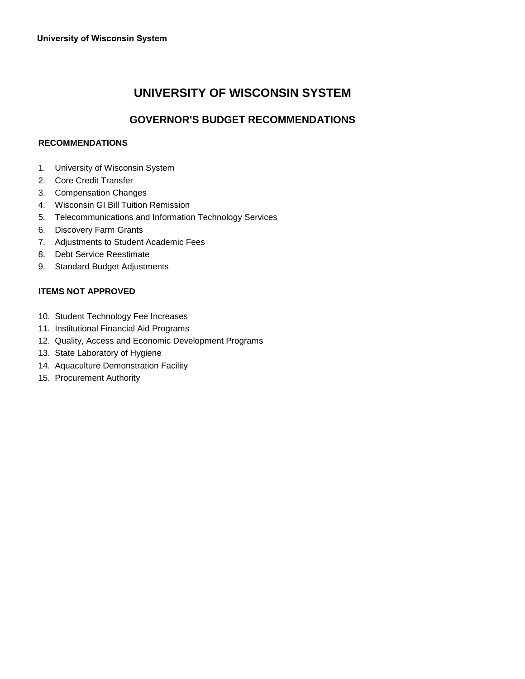# **UNIVERSITY OF WISCONSIN SYSTEM**

# **GOVERNOR'S BUDGET RECOMMENDATIONS**

### **RECOMMENDATIONS**

- 1. University of Wisconsin System
- 2. Core Credit Transfer
- 3. Compensation Changes
- 4. Wisconsin GI Bill Tuition Remission
- 5. Telecommunications and Information Technology Services
- 6. Discovery Farm Grants
- 7. Adjustments to Student Academic Fees
- 8. Debt Service Reestimate
- 9. Standard Budget Adjustments

### **ITEMS NOT APPROVED**

- 10. Student Technology Fee Increases
- 11. Institutional Financial Aid Programs
- 12. Quality, Access and Economic Development Programs
- 13. State Laboratory of Hygiene
- 14. Aquaculture Demonstration Facility
- 15. Procurement Authority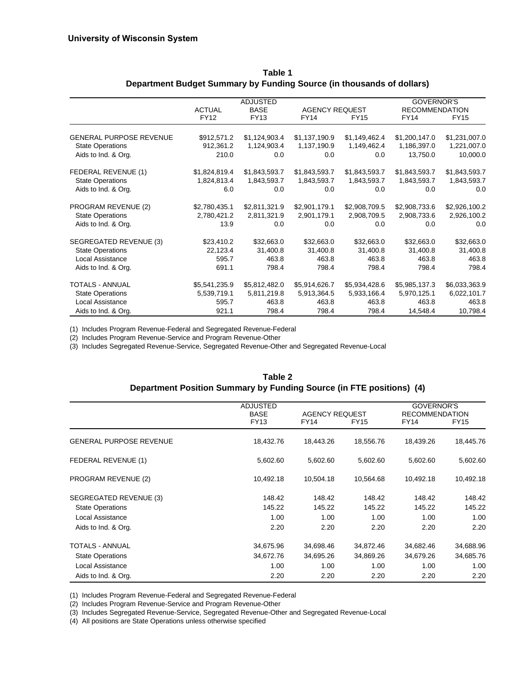|                                |                       | <b>ADJUSTED</b>            |                                      |               | GOVERNOR'S                           |               |
|--------------------------------|-----------------------|----------------------------|--------------------------------------|---------------|--------------------------------------|---------------|
|                                | <b>ACTUAL</b><br>FY12 | <b>BASE</b><br><b>FY13</b> | <b>AGENCY REQUEST</b><br><b>FY14</b> | <b>FY15</b>   | <b>RECOMMENDATION</b><br><b>FY14</b> | <b>FY15</b>   |
|                                |                       |                            |                                      |               |                                      |               |
| <b>GENERAL PURPOSE REVENUE</b> | \$912,571.2           | \$1,124,903.4              | \$1,137,190.9                        | \$1,149,462.4 | \$1,200,147.0                        | \$1,231,007.0 |
| <b>State Operations</b>        | 912,361.2             | 1,124,903.4                | 1,137,190.9                          | 1,149,462.4   | 1,186,397.0                          | 1,221,007.0   |
| Aids to Ind. & Org.            | 210.0                 | 0.0                        | 0.0                                  | 0.0           | 13,750.0                             | 10,000.0      |
| FEDERAL REVENUE (1)            | \$1,824,819.4         | \$1,843,593.7              | \$1,843,593.7                        | \$1,843,593.7 | \$1,843,593.7                        | \$1,843,593.7 |
| <b>State Operations</b>        | 1,824,813.4           | 1,843,593.7                | 1,843,593.7                          | 1,843,593.7   | 1,843,593.7                          | 1,843,593.7   |
| Aids to Ind. & Org.            | 6.0                   | 0.0                        | 0.0                                  | 0.0           | 0.0                                  | 0.0           |
| PROGRAM REVENUE (2)            | \$2,780,435.1         | \$2,811,321.9              | \$2,901,179.1                        | \$2,908,709.5 | \$2,908,733.6                        | \$2,926,100.2 |
| <b>State Operations</b>        | 2,780,421.2           | 2,811,321.9                | 2,901,179.1                          | 2,908,709.5   | 2,908,733.6                          | 2,926,100.2   |
| Aids to Ind. & Org.            | 13.9                  | 0.0                        | 0.0                                  | 0.0           | 0.0                                  | 0.0           |
| SEGREGATED REVENUE (3)         | \$23,410.2            | \$32,663.0                 | \$32,663.0                           | \$32,663.0    | \$32,663.0                           | \$32,663.0    |
| <b>State Operations</b>        | 22,123.4              | 31,400.8                   | 31,400.8                             | 31,400.8      | 31,400.8                             | 31,400.8      |
| <b>Local Assistance</b>        | 595.7                 | 463.8                      | 463.8                                | 463.8         | 463.8                                | 463.8         |
| Aids to Ind. & Org.            | 691.1                 | 798.4                      | 798.4                                | 798.4         | 798.4                                | 798.4         |
| <b>TOTALS - ANNUAL</b>         | \$5,541,235.9         | \$5,812,482.0              | \$5,914,626.7                        | \$5,934,428.6 | \$5,985,137.3                        | \$6,033,363.9 |
| <b>State Operations</b>        | 5,539,719.1           | 5,811,219.8                | 5,913,364.5                          | 5,933,166.4   | 5,970,125.1                          | 6,022,101.7   |
| Local Assistance               | 595.7                 | 463.8                      | 463.8                                | 463.8         | 463.8                                | 463.8         |
| Aids to Ind. & Org.            | 921.1                 | 798.4                      | 798.4                                | 798.4         | 14,548.4                             | 10,798.4      |

| Table 1                                                               |
|-----------------------------------------------------------------------|
| Department Budget Summary by Funding Source (in thousands of dollars) |

(1) Includes Program Revenue-Federal and Segregated Revenue-Federal

(2) Includes Program Revenue-Service and Program Revenue-Other

(3) Includes Segregated Revenue-Service, Segregated Revenue-Other and Segregated Revenue-Local

| Table 2                                                              |
|----------------------------------------------------------------------|
| Department Position Summary by Funding Source (in FTE positions) (4) |

|                                | <b>ADJUSTED</b><br><b>BASE</b> | <b>AGENCY REQUEST</b> |             | GOVERNOR'S<br><b>RECOMMENDATION</b> |             |  |
|--------------------------------|--------------------------------|-----------------------|-------------|-------------------------------------|-------------|--|
|                                | <b>FY13</b>                    | FY14                  | <b>FY15</b> | <b>FY14</b>                         | <b>FY15</b> |  |
| <b>GENERAL PURPOSE REVENUE</b> | 18,432.76                      | 18,443.26             | 18,556.76   | 18,439.26                           | 18,445.76   |  |
| FEDERAL REVENUE (1)            | 5,602.60                       | 5,602.60              | 5,602.60    | 5,602.60                            | 5,602.60    |  |
| PROGRAM REVENUE (2)            | 10,492.18                      | 10,504.18             | 10,564.68   | 10,492.18                           | 10,492.18   |  |
| SEGREGATED REVENUE (3)         | 148.42                         | 148.42                | 148.42      | 148.42                              | 148.42      |  |
| <b>State Operations</b>        | 145.22                         | 145.22                | 145.22      | 145.22                              | 145.22      |  |
| Local Assistance               | 1.00                           | 1.00                  | 1.00        | 1.00                                | 1.00        |  |
| Aids to Ind. & Org.            | 2.20                           | 2.20                  | 2.20        | 2.20                                | 2.20        |  |
| <b>TOTALS - ANNUAL</b>         | 34,675.96                      | 34,698.46             | 34,872.46   | 34,682.46                           | 34,688.96   |  |
| <b>State Operations</b>        | 34,672.76                      | 34,695.26             | 34,869.26   | 34,679.26                           | 34,685.76   |  |
| Local Assistance               | 1.00                           | 1.00                  | 1.00        | 1.00                                | 1.00        |  |
| Aids to Ind. & Org.            | 2.20                           | 2.20                  | 2.20        | 2.20                                | 2.20        |  |

(1) Includes Program Revenue-Federal and Segregated Revenue-Federal

(2) Includes Program Revenue-Service and Program Revenue-Other

(3) Includes Segregated Revenue-Service, Segregated Revenue-Other and Segregated Revenue-Local

(4) All positions are State Operations unless otherwise specified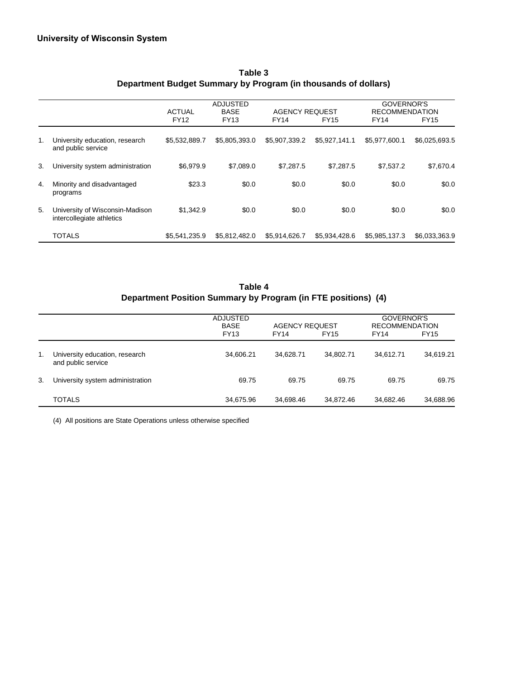|    |                                                              | <b>ADJUSTED</b><br><b>BASE</b><br><b>AGENCY REQUEST</b><br><b>ACTUAL</b> |               |               |               | <b>GOVERNOR'S</b><br><b>RECOMMENDATION</b> |               |  |
|----|--------------------------------------------------------------|--------------------------------------------------------------------------|---------------|---------------|---------------|--------------------------------------------|---------------|--|
|    |                                                              | <b>FY12</b>                                                              | <b>FY13</b>   | <b>FY14</b>   | <b>FY15</b>   | <b>FY14</b>                                | <b>FY15</b>   |  |
| 1. | University education, research<br>and public service         | \$5,532,889.7                                                            | \$5,805,393.0 | \$5,907,339.2 | \$5,927,141.1 | \$5,977,600.1                              | \$6,025,693.5 |  |
| 3. | University system administration                             | \$6,979.9                                                                | \$7,089.0     | \$7,287.5     | \$7,287.5     | \$7,537.2                                  | \$7,670.4     |  |
| 4. | Minority and disadvantaged<br>programs                       | \$23.3                                                                   | \$0.0         | \$0.0         | \$0.0         | \$0.0                                      | \$0.0         |  |
| 5. | University of Wisconsin-Madison<br>intercollegiate athletics | \$1.342.9                                                                | \$0.0         | \$0.0         | \$0.0         | \$0.0                                      | \$0.0         |  |
|    | <b>TOTALS</b>                                                | \$5,541,235.9                                                            | \$5.812.482.0 | \$5.914.626.7 | \$5.934.428.6 | \$5,985,137.3                              | \$6,033,363.9 |  |

## **Table 3 Department Budget Summary by Program (in thousands of dollars)**

**Table 4 Department Position Summary by Program (in FTE positions) (4)**

|                |                                                      | <b>ADJUSTED</b><br><b>BASE</b><br><b>FY13</b> | <b>FY14</b> | <b>AGENCY REQUEST</b><br><b>FY15</b> |           | GOVERNOR'S<br><b>RECOMMENDATION</b><br><b>FY15</b> |
|----------------|------------------------------------------------------|-----------------------------------------------|-------------|--------------------------------------|-----------|----------------------------------------------------|
| $\mathbf{1}$ . | University education, research<br>and public service | 34,606.21                                     | 34.628.71   | 34,802.71                            | 34.612.71 | 34,619.21                                          |
| 3.             | University system administration                     | 69.75                                         | 69.75       | 69.75                                | 69.75     | 69.75                                              |
|                | <b>TOTALS</b>                                        | 34,675.96                                     | 34,698.46   | 34,872.46                            | 34,682.46 | 34,688.96                                          |

(4) All positions are State Operations unless otherwise specified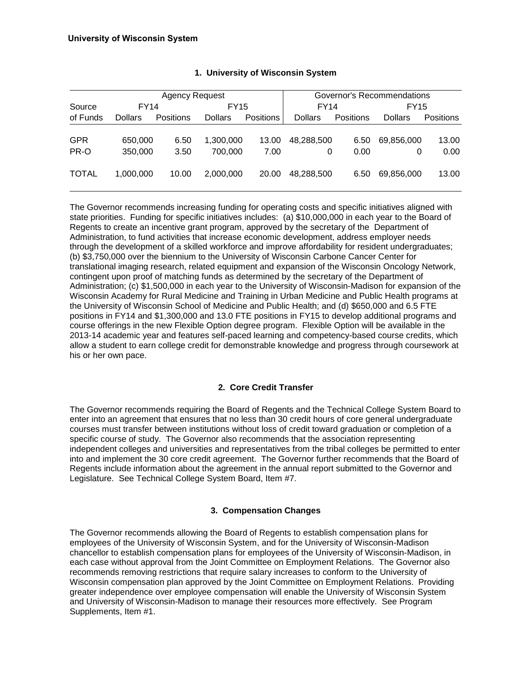| <b>Agency Request</b> |                |                  |                |                  |                |           | Governor's Recommendations |                  |
|-----------------------|----------------|------------------|----------------|------------------|----------------|-----------|----------------------------|------------------|
| Source                | FY14           |                  | <b>FY15</b>    |                  | FY14           |           | FY15                       |                  |
| of Funds              | <b>Dollars</b> | <b>Positions</b> | <b>Dollars</b> | <b>Positions</b> | <b>Dollars</b> | Positions | Dollars                    | <b>Positions</b> |
|                       |                |                  |                |                  |                |           |                            |                  |
| <b>GPR</b>            | 650,000        | 6.50             | 1,300,000      | 13.00            | 48,288,500     | 6.50      | 69,856,000                 | 13.00            |
| PR-O                  | 350,000        | 3.50             | 700,000        | 7.00             | 0              | 0.00      | 0                          | 0.00             |
| <b>TOTAL</b>          | 1,000,000      | 10.00            | 2,000,000      | 20.00            | 48,288,500     | 6.50      | 69,856,000                 | 13.00            |

The Governor recommends increasing funding for operating costs and specific initiatives aligned with state priorities. Funding for specific initiatives includes: (a) \$10,000,000 in each year to the Board of Regents to create an incentive grant program, approved by the secretary of the Department of Administration, to fund activities that increase economic development, address employer needs through the development of a skilled workforce and improve affordability for resident undergraduates; (b) \$3,750,000 over the biennium to the University of Wisconsin Carbone Cancer Center for translational imaging research, related equipment and expansion of the Wisconsin Oncology Network, contingent upon proof of matching funds as determined by the secretary of the Department of Administration; (c) \$1,500,000 in each year to the University of Wisconsin-Madison for expansion of the Wisconsin Academy for Rural Medicine and Training in Urban Medicine and Public Health programs at the University of Wisconsin School of Medicine and Public Health; and (d) \$650,000 and 6.5 FTE positions in FY14 and \$1,300,000 and 13.0 FTE positions in FY15 to develop additional programs and course offerings in the new Flexible Option degree program. Flexible Option will be available in the 2013-14 academic year and features self-paced learning and competency-based course credits, which allow a student to earn college credit for demonstrable knowledge and progress through coursework at his or her own pace.

### **2. Core Credit Transfer**

The Governor recommends requiring the Board of Regents and the Technical College System Board to enter into an agreement that ensures that no less than 30 credit hours of core general undergraduate courses must transfer between institutions without loss of credit toward graduation or completion of a specific course of study. The Governor also recommends that the association representing independent colleges and universities and representatives from the tribal colleges be permitted to enter into and implement the 30 core credit agreement. The Governor further recommends that the Board of Regents include information about the agreement in the annual report submitted to the Governor and Legislature. See Technical College System Board, Item #7.

### **3. Compensation Changes**

The Governor recommends allowing the Board of Regents to establish compensation plans for employees of the University of Wisconsin System, and for the University of Wisconsin-Madison chancellor to establish compensation plans for employees of the University of Wisconsin-Madison, in each case without approval from the Joint Committee on Employment Relations. The Governor also recommends removing restrictions that require salary increases to conform to the University of Wisconsin compensation plan approved by the Joint Committee on Employment Relations. Providing greater independence over employee compensation will enable the University of Wisconsin System and University of Wisconsin-Madison to manage their resources more effectively. See Program Supplements, Item #1.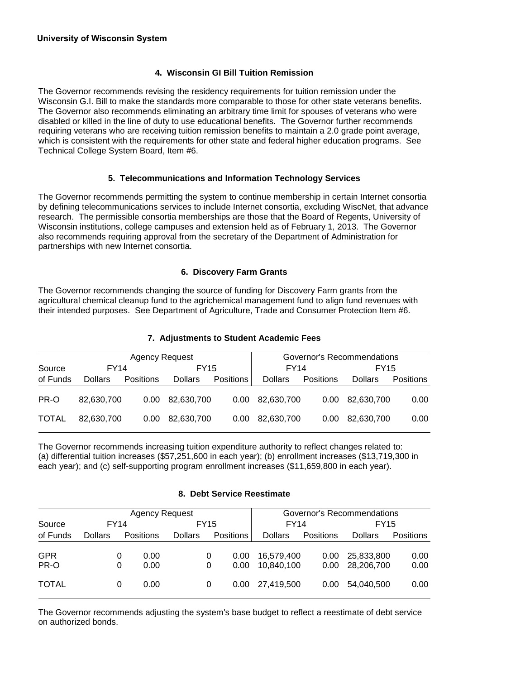## **4. Wisconsin GI Bill Tuition Remission**

The Governor recommends revising the residency requirements for tuition remission under the Wisconsin G.I. Bill to make the standards more comparable to those for other state veterans benefits. The Governor also recommends eliminating an arbitrary time limit for spouses of veterans who were disabled or killed in the line of duty to use educational benefits. The Governor further recommends requiring veterans who are receiving tuition remission benefits to maintain a 2.0 grade point average, which is consistent with the requirements for other state and federal higher education programs. See Technical College System Board, Item #6.

### **5. Telecommunications and Information Technology Services**

The Governor recommends permitting the system to continue membership in certain Internet consortia by defining telecommunications services to include Internet consortia, excluding WiscNet, that advance research. The permissible consortia memberships are those that the Board of Regents, University of Wisconsin institutions, college campuses and extension held as of February 1, 2013. The Governor also recommends requiring approval from the secretary of the Department of Administration for partnerships with new Internet consortia.

### **6. Discovery Farm Grants**

The Governor recommends changing the source of funding for Discovery Farm grants from the agricultural chemical cleanup fund to the agrichemical management fund to align fund revenues with their intended purposes. See Department of Agriculture, Trade and Consumer Protection Item #6.

### **7. Adjustments to Student Academic Fees**

| Agency Request |                |                   |                |           | Governor's Recommendations |                   |                |           |
|----------------|----------------|-------------------|----------------|-----------|----------------------------|-------------------|----------------|-----------|
| Source         | <b>FY14</b>    |                   | FY15           |           | <b>FY14</b>                |                   | FY15           |           |
| of Funds       | <b>Dollars</b> | <b>Positions</b>  | <b>Dollars</b> | Positions | <b>Dollars</b>             | Positions         | <b>Dollars</b> | Positions |
| PR-O           | 82,630,700     | 0.00 <sub>1</sub> | 82,630,700     | 0.00      | 82,630,700                 | 0.00 <sub>1</sub> | 82,630,700     | 0.00      |
| <b>TOTAL</b>   | 82.630.700     | 0.00              | 82,630,700     | 0.00      | 82,630,700                 | 0.00              | 82,630,700     | 0.00      |

The Governor recommends increasing tuition expenditure authority to reflect changes related to: (a) differential tuition increases (\$57,251,600 in each year); (b) enrollment increases (\$13,719,300 in each year); and (c) self-supporting program enrollment increases (\$11,659,800 in each year).

#### **8. Debt Service Reestimate**

|              | Agency Request |   |                  |                |   |                  | Governor's Recommendations |           |                |                  |  |
|--------------|----------------|---|------------------|----------------|---|------------------|----------------------------|-----------|----------------|------------------|--|
| Source       | <b>FY14</b>    |   |                  | <b>FY15</b>    |   | <b>FY14</b>      |                            | FY15      |                |                  |  |
| of Funds     | <b>Dollars</b> |   | <b>Positions</b> | <b>Dollars</b> |   | <b>Positions</b> | <b>Dollars</b>             | Positions | <b>Dollars</b> | <b>Positions</b> |  |
| <b>GPR</b>   |                | 0 | 0.00             |                | 0 | 0.00             | 16.579.400                 | 0.00      | 25,833,800     | 0.00             |  |
| PR-O         |                | 0 | 0.00             |                | 0 | 0.00             | 10,840,100                 | 0.00      | 28.206.700     | 0.00             |  |
| <b>TOTAL</b> |                | 0 | 0.00             |                | 0 | 0.00             | 27.419.500                 | 0.00      | 54.040.500     | 0.00             |  |

The Governor recommends adjusting the system's base budget to reflect a reestimate of debt service on authorized bonds.